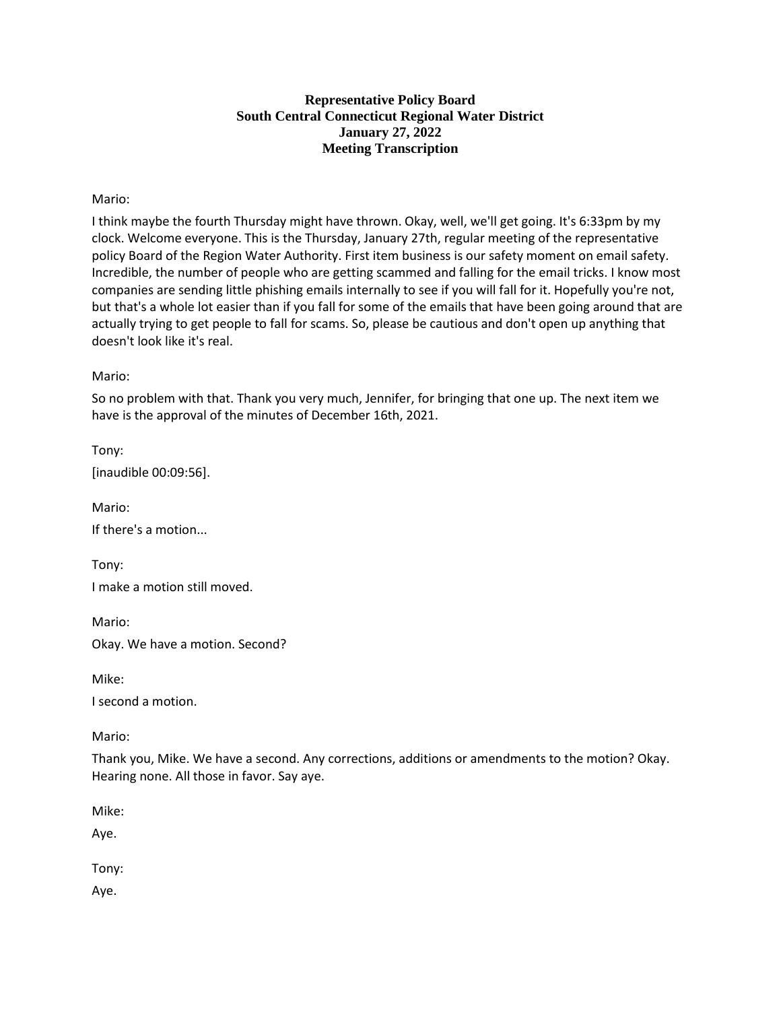## **Representative Policy Board South Central Connecticut Regional Water District January 27, 2022 Meeting Transcription**

### Mario:

I think maybe the fourth Thursday might have thrown. Okay, well, we'll get going. It's 6:33pm by my clock. Welcome everyone. This is the Thursday, January 27th, regular meeting of the representative policy Board of the Region Water Authority. First item business is our safety moment on email safety. Incredible, the number of people who are getting scammed and falling for the email tricks. I know most companies are sending little phishing emails internally to see if you will fall for it. Hopefully you're not, but that's a whole lot easier than if you fall for some of the emails that have been going around that are actually trying to get people to fall for scams. So, please be cautious and don't open up anything that doesn't look like it's real.

Mario:

So no problem with that. Thank you very much, Jennifer, for bringing that one up. The next item we have is the approval of the minutes of December 16th, 2021.

Tony: [inaudible 00:09:56].

Mario: If there's a motion...

Tony: I make a motion still moved.

Mario:

Okay. We have a motion. Second?

Mike:

I second a motion.

Mario:

Thank you, Mike. We have a second. Any corrections, additions or amendments to the motion? Okay. Hearing none. All those in favor. Say aye.

Mike:

Aye.

Tony:

Aye.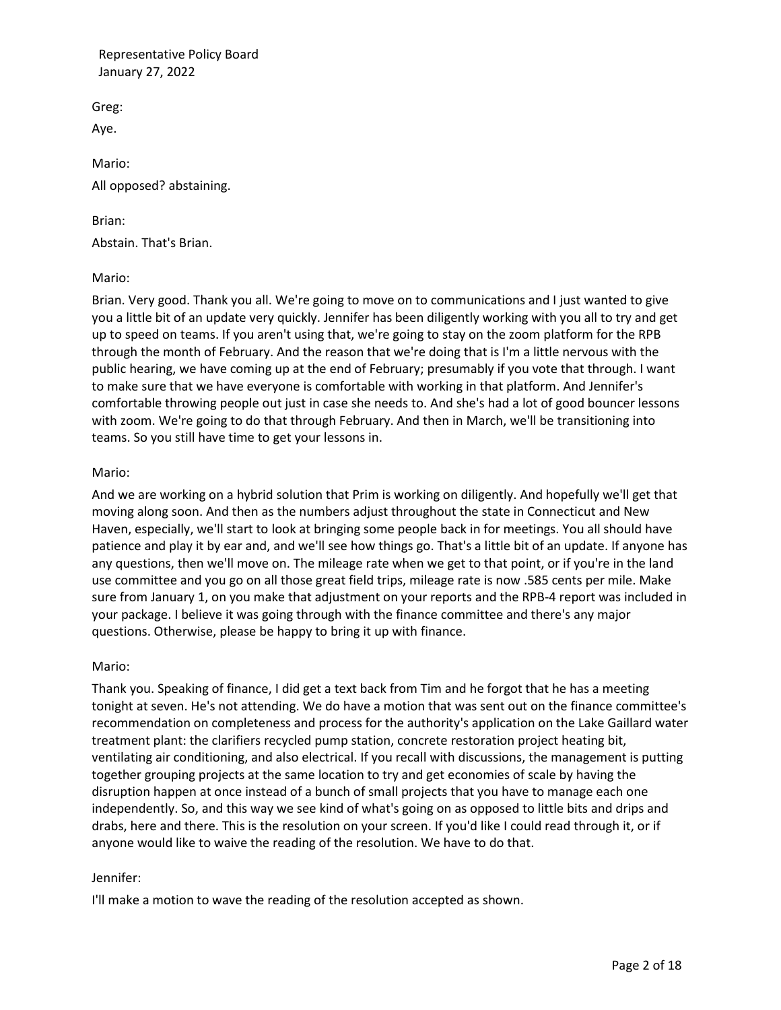Greg:

Aye.

Mario: All opposed? abstaining.

Brian: Abstain. That's Brian.

## Mario:

Brian. Very good. Thank you all. We're going to move on to communications and I just wanted to give you a little bit of an update very quickly. Jennifer has been diligently working with you all to try and get up to speed on teams. If you aren't using that, we're going to stay on the zoom platform for the RPB through the month of February. And the reason that we're doing that is I'm a little nervous with the public hearing, we have coming up at the end of February; presumably if you vote that through. I want to make sure that we have everyone is comfortable with working in that platform. And Jennifer's comfortable throwing people out just in case she needs to. And she's had a lot of good bouncer lessons with zoom. We're going to do that through February. And then in March, we'll be transitioning into teams. So you still have time to get your lessons in.

# Mario:

And we are working on a hybrid solution that Prim is working on diligently. And hopefully we'll get that moving along soon. And then as the numbers adjust throughout the state in Connecticut and New Haven, especially, we'll start to look at bringing some people back in for meetings. You all should have patience and play it by ear and, and we'll see how things go. That's a little bit of an update. If anyone has any questions, then we'll move on. The mileage rate when we get to that point, or if you're in the land use committee and you go on all those great field trips, mileage rate is now .585 cents per mile. Make sure from January 1, on you make that adjustment on your reports and the RPB-4 report was included in your package. I believe it was going through with the finance committee and there's any major questions. Otherwise, please be happy to bring it up with finance.

## Mario:

Thank you. Speaking of finance, I did get a text back from Tim and he forgot that he has a meeting tonight at seven. He's not attending. We do have a motion that was sent out on the finance committee's recommendation on completeness and process for the authority's application on the Lake Gaillard water treatment plant: the clarifiers recycled pump station, concrete restoration project heating bit, ventilating air conditioning, and also electrical. If you recall with discussions, the management is putting together grouping projects at the same location to try and get economies of scale by having the disruption happen at once instead of a bunch of small projects that you have to manage each one independently. So, and this way we see kind of what's going on as opposed to little bits and drips and drabs, here and there. This is the resolution on your screen. If you'd like I could read through it, or if anyone would like to waive the reading of the resolution. We have to do that.

## Jennifer:

I'll make a motion to wave the reading of the resolution accepted as shown.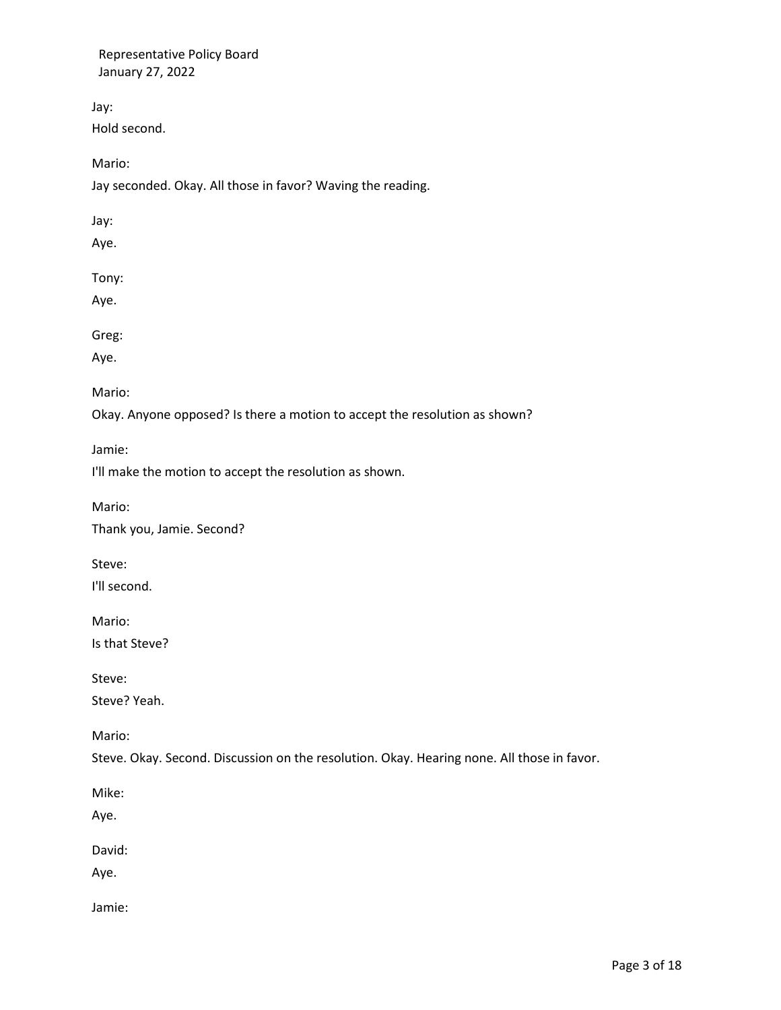Jay:

Hold second.

Mario:

Jay seconded. Okay. All those in favor? Waving the reading.

Jay:

Aye.

Tony:

Aye.

Greg:

Aye.

Mario:

Okay. Anyone opposed? Is there a motion to accept the resolution as shown?

Jamie:

I'll make the motion to accept the resolution as shown.

Mario:

Thank you, Jamie. Second?

Steve:

I'll second.

Mario:

Is that Steve?

Steve:

Steve? Yeah.

Mario:

Steve. Okay. Second. Discussion on the resolution. Okay. Hearing none. All those in favor.

Mike:

Aye.

David:

Aye.

Jamie: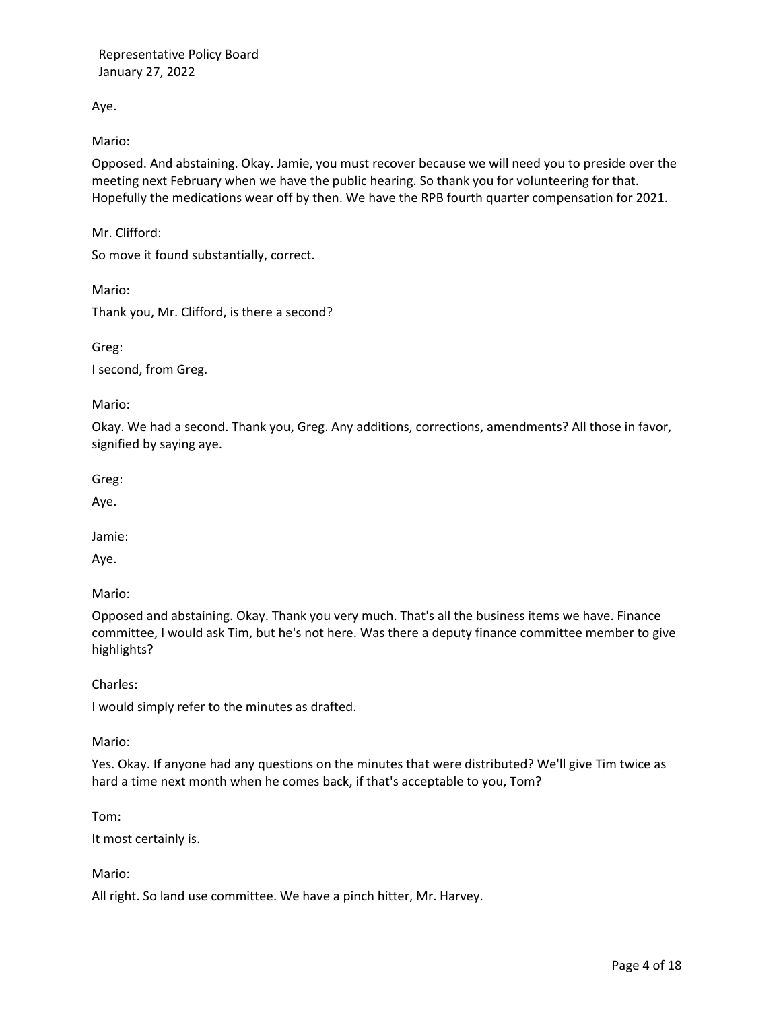Aye.

Mario:

Opposed. And abstaining. Okay. Jamie, you must recover because we will need you to preside over the meeting next February when we have the public hearing. So thank you for volunteering for that. Hopefully the medications wear off by then. We have the RPB fourth quarter compensation for 2021.

Mr. Clifford:

So move it found substantially, correct.

Mario:

Thank you, Mr. Clifford, is there a second?

Greg: I second, from Greg.

Mario:

Okay. We had a second. Thank you, Greg. Any additions, corrections, amendments? All those in favor, signified by saying aye.

Greg:

Aye.

Jamie:

Aye.

Mario:

Opposed and abstaining. Okay. Thank you very much. That's all the business items we have. Finance committee, I would ask Tim, but he's not here. Was there a deputy finance committee member to give highlights?

Charles:

I would simply refer to the minutes as drafted.

Mario:

Yes. Okay. If anyone had any questions on the minutes that were distributed? We'll give Tim twice as hard a time next month when he comes back, if that's acceptable to you, Tom?

Tom:

It most certainly is.

Mario:

All right. So land use committee. We have a pinch hitter, Mr. Harvey.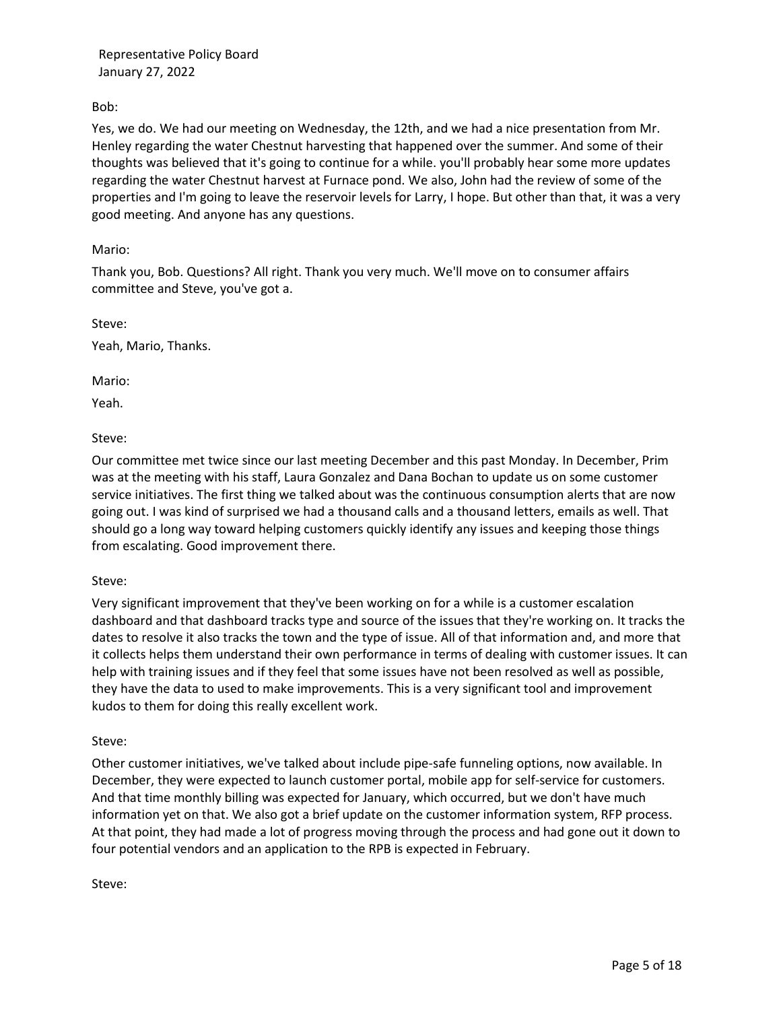Bob:

Yes, we do. We had our meeting on Wednesday, the 12th, and we had a nice presentation from Mr. Henley regarding the water Chestnut harvesting that happened over the summer. And some of their thoughts was believed that it's going to continue for a while. you'll probably hear some more updates regarding the water Chestnut harvest at Furnace pond. We also, John had the review of some of the properties and I'm going to leave the reservoir levels for Larry, I hope. But other than that, it was a very good meeting. And anyone has any questions.

Mario:

Thank you, Bob. Questions? All right. Thank you very much. We'll move on to consumer affairs committee and Steve, you've got a.

Steve: Yeah, Mario, Thanks.

Mario:

Yeah.

Steve:

Our committee met twice since our last meeting December and this past Monday. In December, Prim was at the meeting with his staff, Laura Gonzalez and Dana Bochan to update us on some customer service initiatives. The first thing we talked about was the continuous consumption alerts that are now going out. I was kind of surprised we had a thousand calls and a thousand letters, emails as well. That should go a long way toward helping customers quickly identify any issues and keeping those things from escalating. Good improvement there.

Steve:

Very significant improvement that they've been working on for a while is a customer escalation dashboard and that dashboard tracks type and source of the issues that they're working on. It tracks the dates to resolve it also tracks the town and the type of issue. All of that information and, and more that it collects helps them understand their own performance in terms of dealing with customer issues. It can help with training issues and if they feel that some issues have not been resolved as well as possible, they have the data to used to make improvements. This is a very significant tool and improvement kudos to them for doing this really excellent work.

## Steve:

Other customer initiatives, we've talked about include pipe-safe funneling options, now available. In December, they were expected to launch customer portal, mobile app for self-service for customers. And that time monthly billing was expected for January, which occurred, but we don't have much information yet on that. We also got a brief update on the customer information system, RFP process. At that point, they had made a lot of progress moving through the process and had gone out it down to four potential vendors and an application to the RPB is expected in February.

Steve: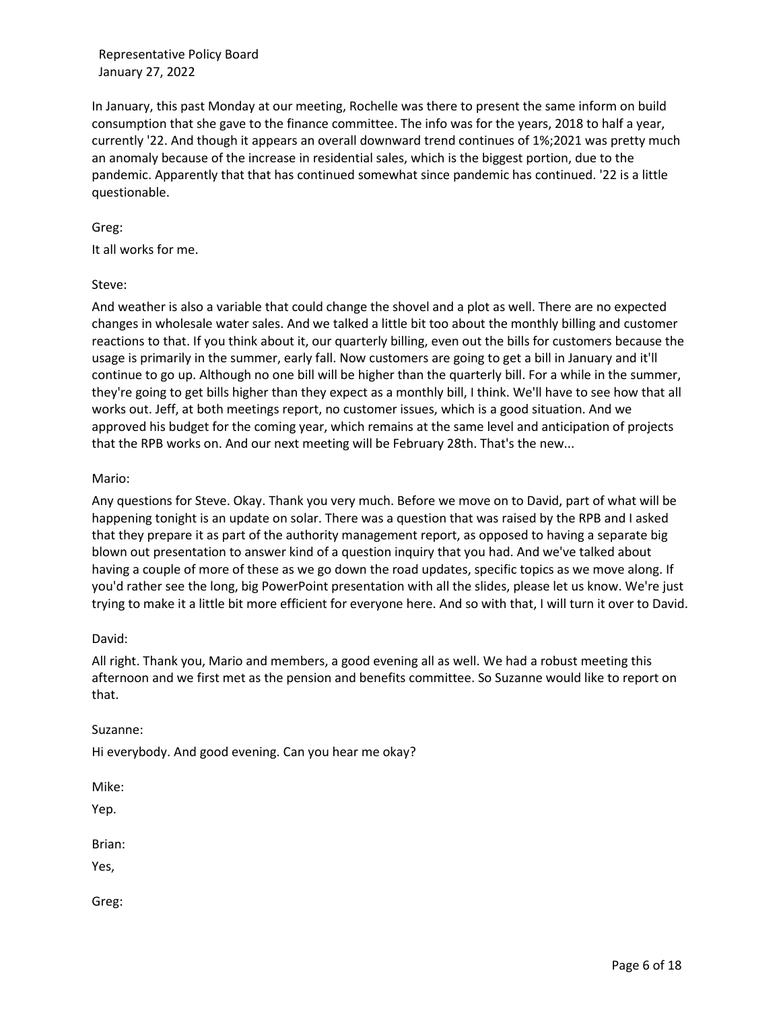In January, this past Monday at our meeting, Rochelle was there to present the same inform on build consumption that she gave to the finance committee. The info was for the years, 2018 to half a year, currently '22. And though it appears an overall downward trend continues of 1%;2021 was pretty much an anomaly because of the increase in residential sales, which is the biggest portion, due to the pandemic. Apparently that that has continued somewhat since pandemic has continued. '22 is a little questionable.

## Greg:

It all works for me.

### Steve:

And weather is also a variable that could change the shovel and a plot as well. There are no expected changes in wholesale water sales. And we talked a little bit too about the monthly billing and customer reactions to that. If you think about it, our quarterly billing, even out the bills for customers because the usage is primarily in the summer, early fall. Now customers are going to get a bill in January and it'll continue to go up. Although no one bill will be higher than the quarterly bill. For a while in the summer, they're going to get bills higher than they expect as a monthly bill, I think. We'll have to see how that all works out. Jeff, at both meetings report, no customer issues, which is a good situation. And we approved his budget for the coming year, which remains at the same level and anticipation of projects that the RPB works on. And our next meeting will be February 28th. That's the new...

### Mario:

Any questions for Steve. Okay. Thank you very much. Before we move on to David, part of what will be happening tonight is an update on solar. There was a question that was raised by the RPB and I asked that they prepare it as part of the authority management report, as opposed to having a separate big blown out presentation to answer kind of a question inquiry that you had. And we've talked about having a couple of more of these as we go down the road updates, specific topics as we move along. If you'd rather see the long, big PowerPoint presentation with all the slides, please let us know. We're just trying to make it a little bit more efficient for everyone here. And so with that, I will turn it over to David.

#### David:

All right. Thank you, Mario and members, a good evening all as well. We had a robust meeting this afternoon and we first met as the pension and benefits committee. So Suzanne would like to report on that.

#### Suzanne:

Hi everybody. And good evening. Can you hear me okay?

Mike:

Yep.

Brian:

Yes,

Greg: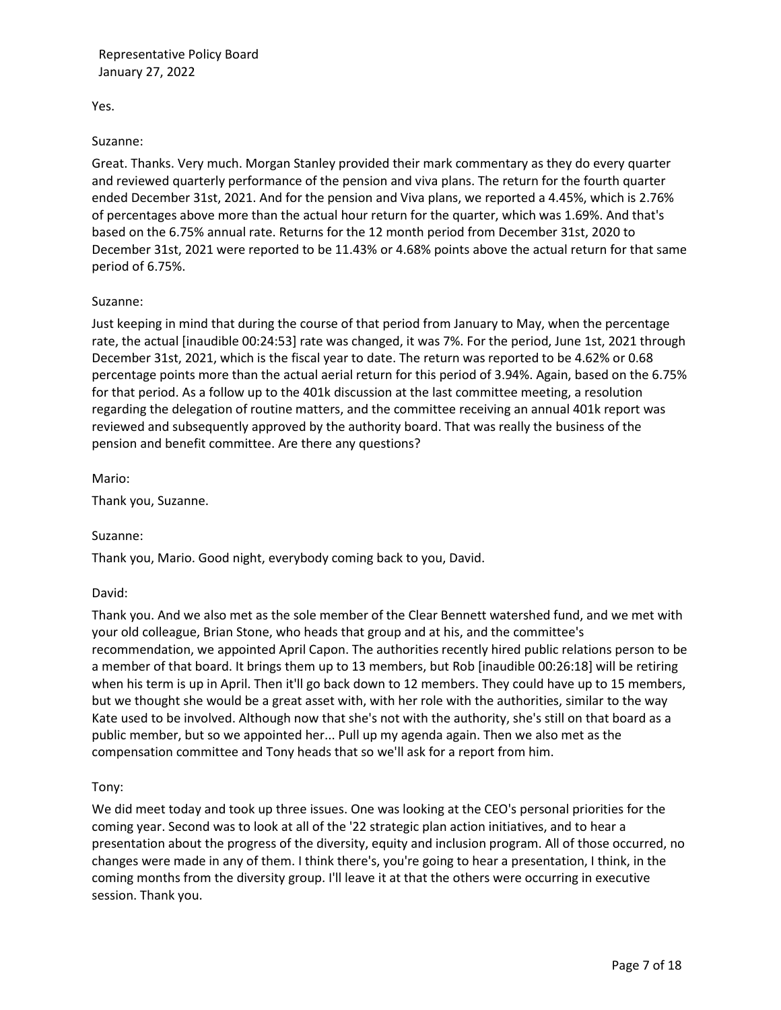Yes.

### Suzanne:

Great. Thanks. Very much. Morgan Stanley provided their mark commentary as they do every quarter and reviewed quarterly performance of the pension and viva plans. The return for the fourth quarter ended December 31st, 2021. And for the pension and Viva plans, we reported a 4.45%, which is 2.76% of percentages above more than the actual hour return for the quarter, which was 1.69%. And that's based on the 6.75% annual rate. Returns for the 12 month period from December 31st, 2020 to December 31st, 2021 were reported to be 11.43% or 4.68% points above the actual return for that same period of 6.75%.

## Suzanne:

Just keeping in mind that during the course of that period from January to May, when the percentage rate, the actual [inaudible 00:24:53] rate was changed, it was 7%. For the period, June 1st, 2021 through December 31st, 2021, which is the fiscal year to date. The return was reported to be 4.62% or 0.68 percentage points more than the actual aerial return for this period of 3.94%. Again, based on the 6.75% for that period. As a follow up to the 401k discussion at the last committee meeting, a resolution regarding the delegation of routine matters, and the committee receiving an annual 401k report was reviewed and subsequently approved by the authority board. That was really the business of the pension and benefit committee. Are there any questions?

Mario:

Thank you, Suzanne.

#### Suzanne:

Thank you, Mario. Good night, everybody coming back to you, David.

#### David:

Thank you. And we also met as the sole member of the Clear Bennett watershed fund, and we met with your old colleague, Brian Stone, who heads that group and at his, and the committee's recommendation, we appointed April Capon. The authorities recently hired public relations person to be a member of that board. It brings them up to 13 members, but Rob [inaudible 00:26:18] will be retiring when his term is up in April. Then it'll go back down to 12 members. They could have up to 15 members, but we thought she would be a great asset with, with her role with the authorities, similar to the way Kate used to be involved. Although now that she's not with the authority, she's still on that board as a public member, but so we appointed her... Pull up my agenda again. Then we also met as the compensation committee and Tony heads that so we'll ask for a report from him.

## Tony:

We did meet today and took up three issues. One was looking at the CEO's personal priorities for the coming year. Second was to look at all of the '22 strategic plan action initiatives, and to hear a presentation about the progress of the diversity, equity and inclusion program. All of those occurred, no changes were made in any of them. I think there's, you're going to hear a presentation, I think, in the coming months from the diversity group. I'll leave it at that the others were occurring in executive session. Thank you.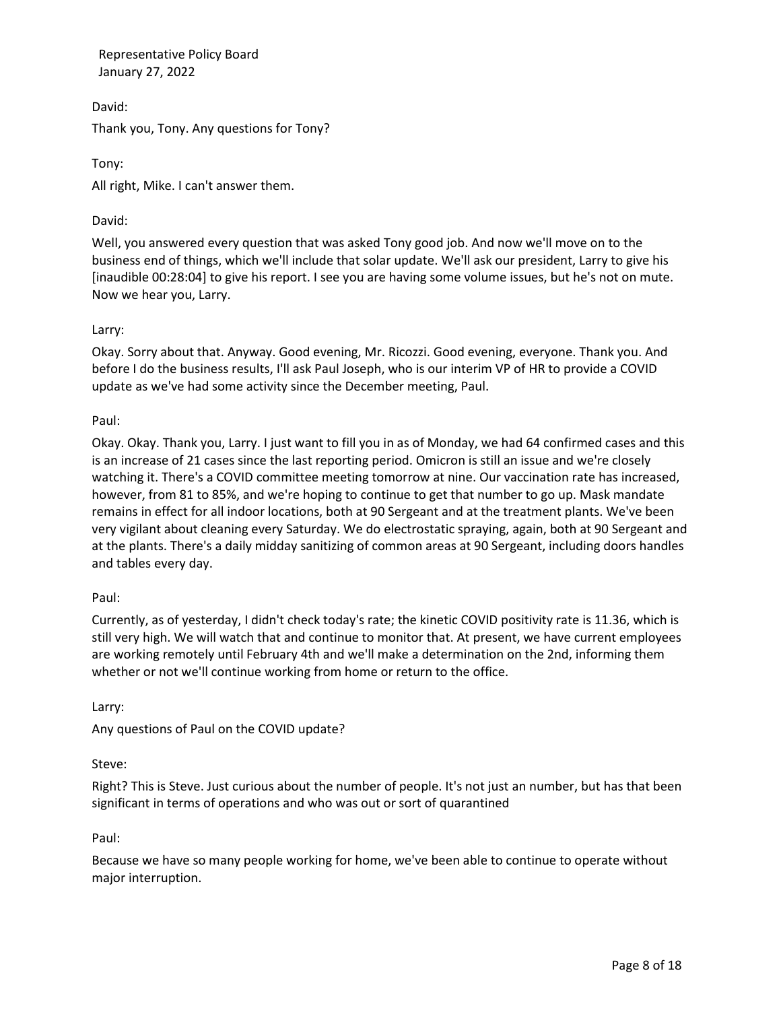David: Thank you, Tony. Any questions for Tony?

Tony: All right, Mike. I can't answer them.

# David:

Well, you answered every question that was asked Tony good job. And now we'll move on to the business end of things, which we'll include that solar update. We'll ask our president, Larry to give his [inaudible 00:28:04] to give his report. I see you are having some volume issues, but he's not on mute. Now we hear you, Larry.

## Larry:

Okay. Sorry about that. Anyway. Good evening, Mr. Ricozzi. Good evening, everyone. Thank you. And before I do the business results, I'll ask Paul Joseph, who is our interim VP of HR to provide a COVID update as we've had some activity since the December meeting, Paul.

### Paul:

Okay. Okay. Thank you, Larry. I just want to fill you in as of Monday, we had 64 confirmed cases and this is an increase of 21 cases since the last reporting period. Omicron is still an issue and we're closely watching it. There's a COVID committee meeting tomorrow at nine. Our vaccination rate has increased, however, from 81 to 85%, and we're hoping to continue to get that number to go up. Mask mandate remains in effect for all indoor locations, both at 90 Sergeant and at the treatment plants. We've been very vigilant about cleaning every Saturday. We do electrostatic spraying, again, both at 90 Sergeant and at the plants. There's a daily midday sanitizing of common areas at 90 Sergeant, including doors handles and tables every day.

#### Paul:

Currently, as of yesterday, I didn't check today's rate; the kinetic COVID positivity rate is 11.36, which is still very high. We will watch that and continue to monitor that. At present, we have current employees are working remotely until February 4th and we'll make a determination on the 2nd, informing them whether or not we'll continue working from home or return to the office.

Larry:

Any questions of Paul on the COVID update?

## Steve:

Right? This is Steve. Just curious about the number of people. It's not just an number, but has that been significant in terms of operations and who was out or sort of quarantined

#### Paul:

Because we have so many people working for home, we've been able to continue to operate without major interruption.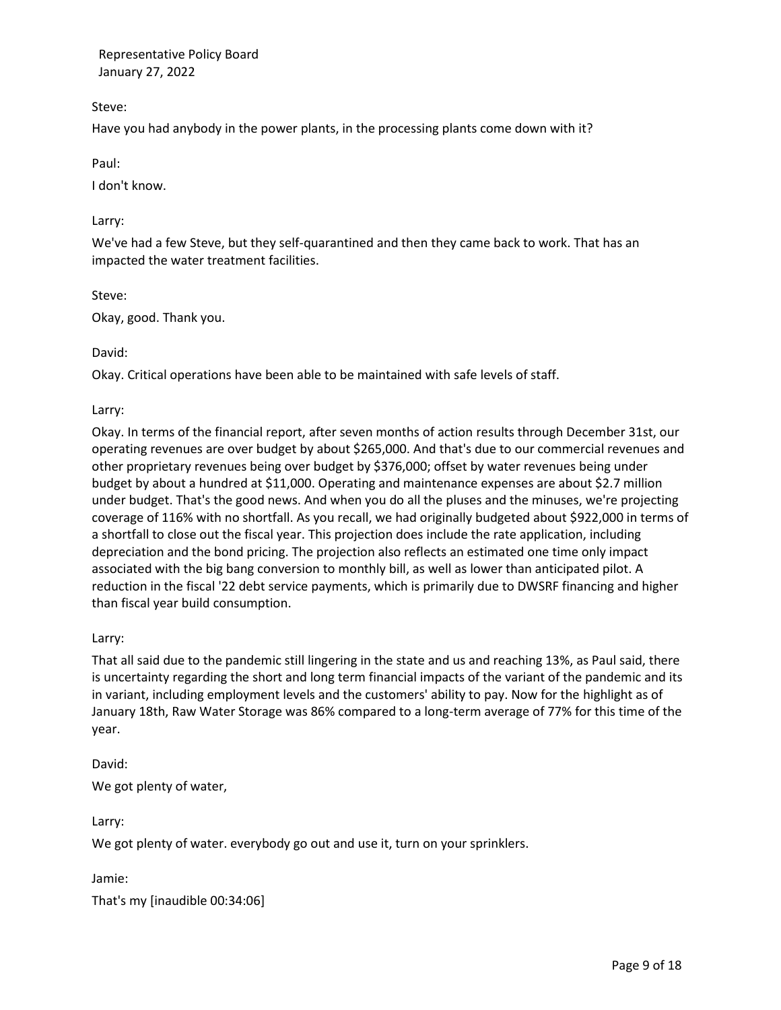Steve:

Have you had anybody in the power plants, in the processing plants come down with it?

## Paul:

I don't know.

### Larry:

We've had a few Steve, but they self-quarantined and then they came back to work. That has an impacted the water treatment facilities.

### Steve:

Okay, good. Thank you.

### David:

Okay. Critical operations have been able to be maintained with safe levels of staff.

### Larry:

Okay. In terms of the financial report, after seven months of action results through December 31st, our operating revenues are over budget by about \$265,000. And that's due to our commercial revenues and other proprietary revenues being over budget by \$376,000; offset by water revenues being under budget by about a hundred at \$11,000. Operating and maintenance expenses are about \$2.7 million under budget. That's the good news. And when you do all the pluses and the minuses, we're projecting coverage of 116% with no shortfall. As you recall, we had originally budgeted about \$922,000 in terms of a shortfall to close out the fiscal year. This projection does include the rate application, including depreciation and the bond pricing. The projection also reflects an estimated one time only impact associated with the big bang conversion to monthly bill, as well as lower than anticipated pilot. A reduction in the fiscal '22 debt service payments, which is primarily due to DWSRF financing and higher than fiscal year build consumption.

#### Larry:

That all said due to the pandemic still lingering in the state and us and reaching 13%, as Paul said, there is uncertainty regarding the short and long term financial impacts of the variant of the pandemic and its in variant, including employment levels and the customers' ability to pay. Now for the highlight as of January 18th, Raw Water Storage was 86% compared to a long-term average of 77% for this time of the year.

David:

We got plenty of water,

Larry:

We got plenty of water. everybody go out and use it, turn on your sprinklers.

Jamie:

That's my [inaudible 00:34:06]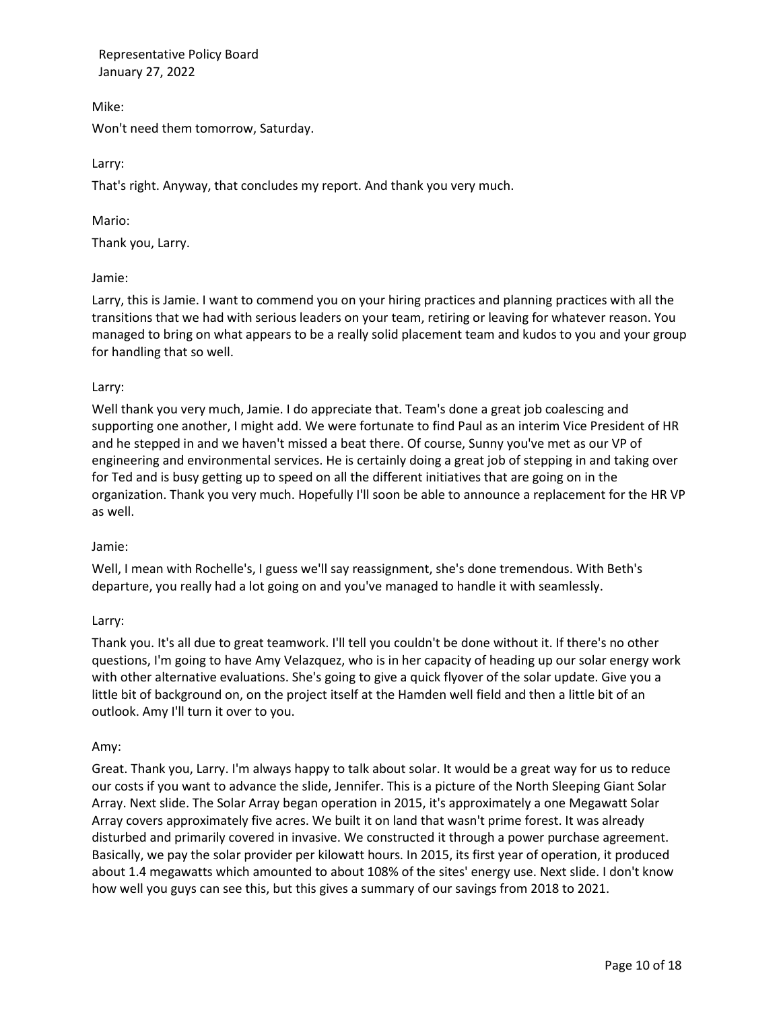Mike: Won't need them tomorrow, Saturday.

Larry:

That's right. Anyway, that concludes my report. And thank you very much.

Mario:

Thank you, Larry.

Jamie:

Larry, this is Jamie. I want to commend you on your hiring practices and planning practices with all the transitions that we had with serious leaders on your team, retiring or leaving for whatever reason. You managed to bring on what appears to be a really solid placement team and kudos to you and your group for handling that so well.

## Larry:

Well thank you very much, Jamie. I do appreciate that. Team's done a great job coalescing and supporting one another, I might add. We were fortunate to find Paul as an interim Vice President of HR and he stepped in and we haven't missed a beat there. Of course, Sunny you've met as our VP of engineering and environmental services. He is certainly doing a great job of stepping in and taking over for Ted and is busy getting up to speed on all the different initiatives that are going on in the organization. Thank you very much. Hopefully I'll soon be able to announce a replacement for the HR VP as well.

## Jamie:

Well, I mean with Rochelle's, I guess we'll say reassignment, she's done tremendous. With Beth's departure, you really had a lot going on and you've managed to handle it with seamlessly.

## Larry:

Thank you. It's all due to great teamwork. I'll tell you couldn't be done without it. If there's no other questions, I'm going to have Amy Velazquez, who is in her capacity of heading up our solar energy work with other alternative evaluations. She's going to give a quick flyover of the solar update. Give you a little bit of background on, on the project itself at the Hamden well field and then a little bit of an outlook. Amy I'll turn it over to you.

## Amy:

Great. Thank you, Larry. I'm always happy to talk about solar. It would be a great way for us to reduce our costs if you want to advance the slide, Jennifer. This is a picture of the North Sleeping Giant Solar Array. Next slide. The Solar Array began operation in 2015, it's approximately a one Megawatt Solar Array covers approximately five acres. We built it on land that wasn't prime forest. It was already disturbed and primarily covered in invasive. We constructed it through a power purchase agreement. Basically, we pay the solar provider per kilowatt hours. In 2015, its first year of operation, it produced about 1.4 megawatts which amounted to about 108% of the sites' energy use. Next slide. I don't know how well you guys can see this, but this gives a summary of our savings from 2018 to 2021.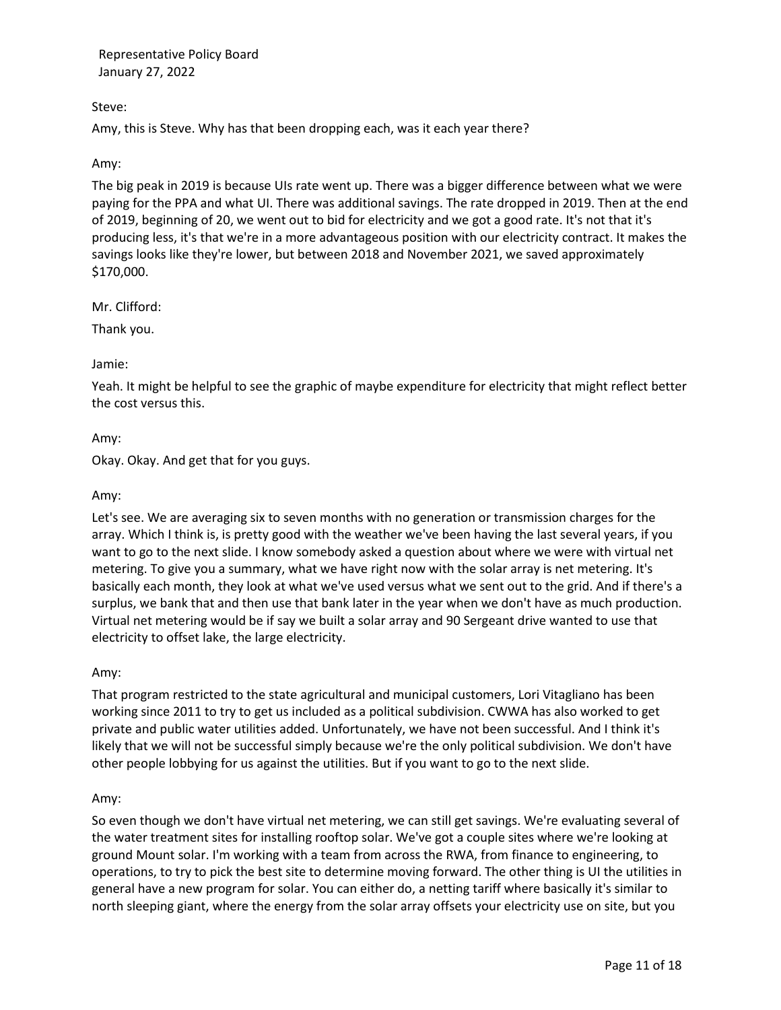## Steve:

Amy, this is Steve. Why has that been dropping each, was it each year there?

## Amy:

The big peak in 2019 is because UIs rate went up. There was a bigger difference between what we were paying for the PPA and what UI. There was additional savings. The rate dropped in 2019. Then at the end of 2019, beginning of 20, we went out to bid for electricity and we got a good rate. It's not that it's producing less, it's that we're in a more advantageous position with our electricity contract. It makes the savings looks like they're lower, but between 2018 and November 2021, we saved approximately \$170,000.

## Mr. Clifford:

Thank you.

## Jamie:

Yeah. It might be helpful to see the graphic of maybe expenditure for electricity that might reflect better the cost versus this.

### Amy:

Okay. Okay. And get that for you guys.

### Amy:

Let's see. We are averaging six to seven months with no generation or transmission charges for the array. Which I think is, is pretty good with the weather we've been having the last several years, if you want to go to the next slide. I know somebody asked a question about where we were with virtual net metering. To give you a summary, what we have right now with the solar array is net metering. It's basically each month, they look at what we've used versus what we sent out to the grid. And if there's a surplus, we bank that and then use that bank later in the year when we don't have as much production. Virtual net metering would be if say we built a solar array and 90 Sergeant drive wanted to use that electricity to offset lake, the large electricity.

## Amy:

That program restricted to the state agricultural and municipal customers, Lori Vitagliano has been working since 2011 to try to get us included as a political subdivision. CWWA has also worked to get private and public water utilities added. Unfortunately, we have not been successful. And I think it's likely that we will not be successful simply because we're the only political subdivision. We don't have other people lobbying for us against the utilities. But if you want to go to the next slide.

## Amy:

So even though we don't have virtual net metering, we can still get savings. We're evaluating several of the water treatment sites for installing rooftop solar. We've got a couple sites where we're looking at ground Mount solar. I'm working with a team from across the RWA, from finance to engineering, to operations, to try to pick the best site to determine moving forward. The other thing is UI the utilities in general have a new program for solar. You can either do, a netting tariff where basically it's similar to north sleeping giant, where the energy from the solar array offsets your electricity use on site, but you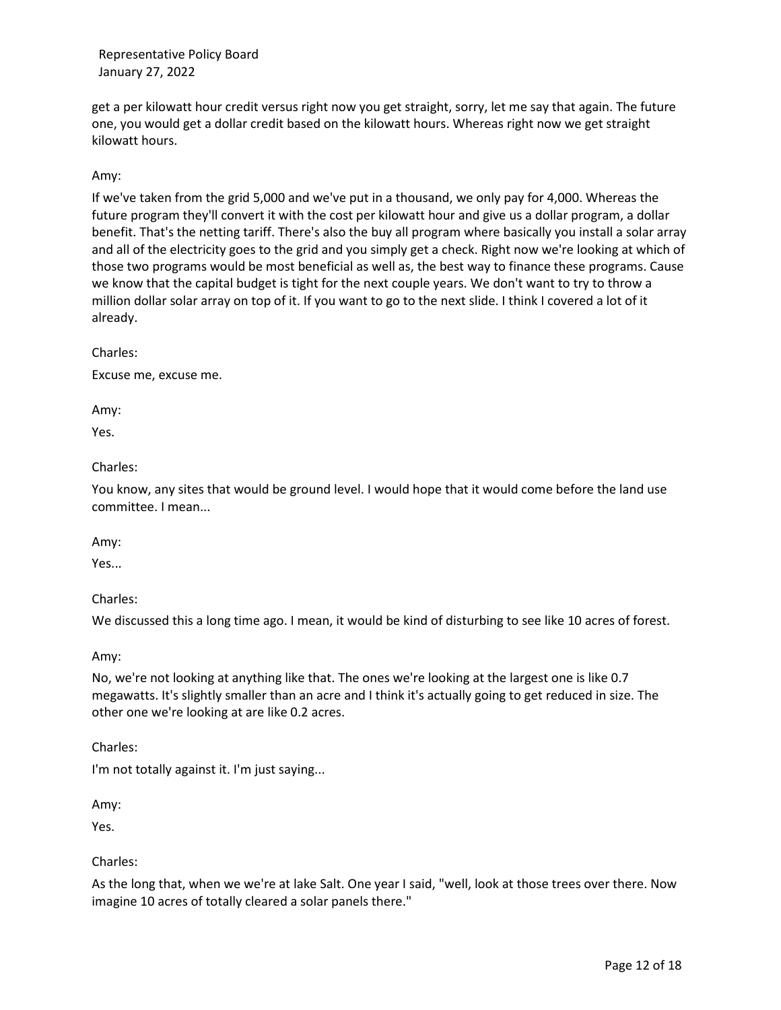get a per kilowatt hour credit versus right now you get straight, sorry, let me say that again. The future one, you would get a dollar credit based on the kilowatt hours. Whereas right now we get straight kilowatt hours.

## Amy:

If we've taken from the grid 5,000 and we've put in a thousand, we only pay for 4,000. Whereas the future program they'll convert it with the cost per kilowatt hour and give us a dollar program, a dollar benefit. That's the netting tariff. There's also the buy all program where basically you install a solar array and all of the electricity goes to the grid and you simply get a check. Right now we're looking at which of those two programs would be most beneficial as well as, the best way to finance these programs. Cause we know that the capital budget is tight for the next couple years. We don't want to try to throw a million dollar solar array on top of it. If you want to go to the next slide. I think I covered a lot of it already.

Charles:

Excuse me, excuse me.

Amy:

Yes.

#### Charles:

You know, any sites that would be ground level. I would hope that it would come before the land use committee. I mean...

Amy:

Yes...

Charles:

We discussed this a long time ago. I mean, it would be kind of disturbing to see like 10 acres of forest.

Amy:

No, we're not looking at anything like that. The ones we're looking at the largest one is like 0.7 megawatts. It's slightly smaller than an acre and I think it's actually going to get reduced in size. The other one we're looking at are like 0.2 acres.

Charles:

I'm not totally against it. I'm just saying...

Amy:

Yes.

Charles:

As the long that, when we we're at lake Salt. One year I said, "well, look at those trees over there. Now imagine 10 acres of totally cleared a solar panels there."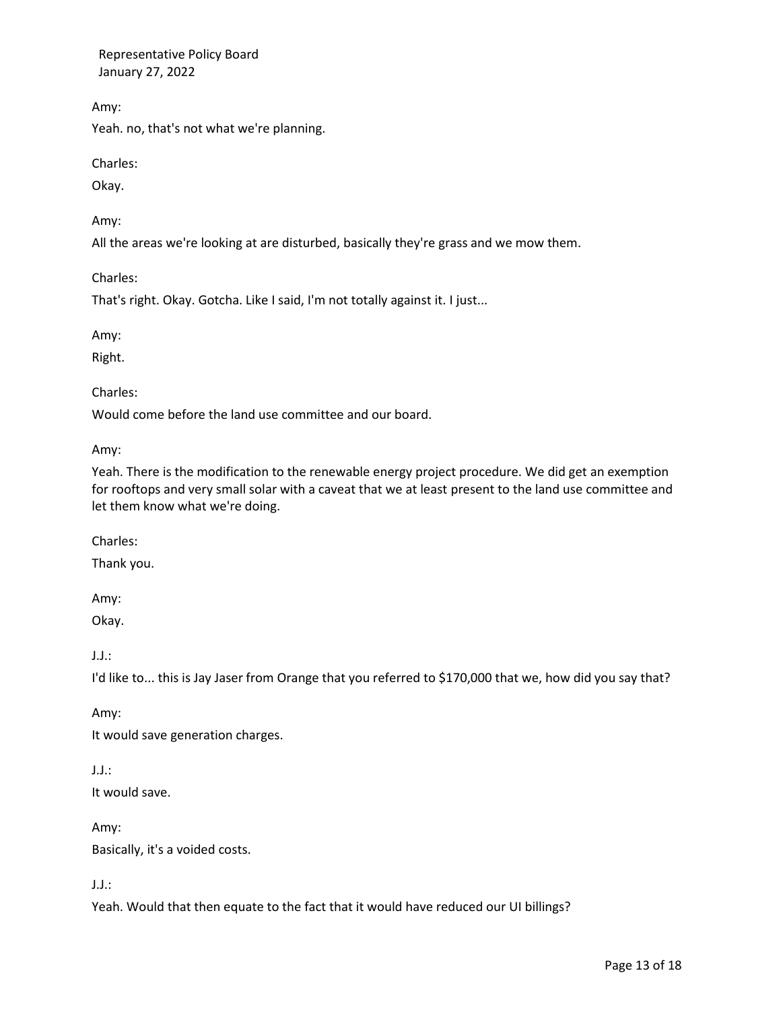Amy:

Yeah. no, that's not what we're planning.

Charles:

Okay.

Amy:

All the areas we're looking at are disturbed, basically they're grass and we mow them.

Charles:

That's right. Okay. Gotcha. Like I said, I'm not totally against it. I just...

Amy:

Right.

Charles:

Would come before the land use committee and our board.

Amy:

Yeah. There is the modification to the renewable energy project procedure. We did get an exemption for rooftops and very small solar with a caveat that we at least present to the land use committee and let them know what we're doing.

Charles:

Thank you.

Amy:

Okay.

J.J.:

I'd like to... this is Jay Jaser from Orange that you referred to \$170,000 that we, how did you say that?

Amy:

It would save generation charges.

J.J.:

It would save.

Amy: Basically, it's a voided costs.

J.J.:

Yeah. Would that then equate to the fact that it would have reduced our UI billings?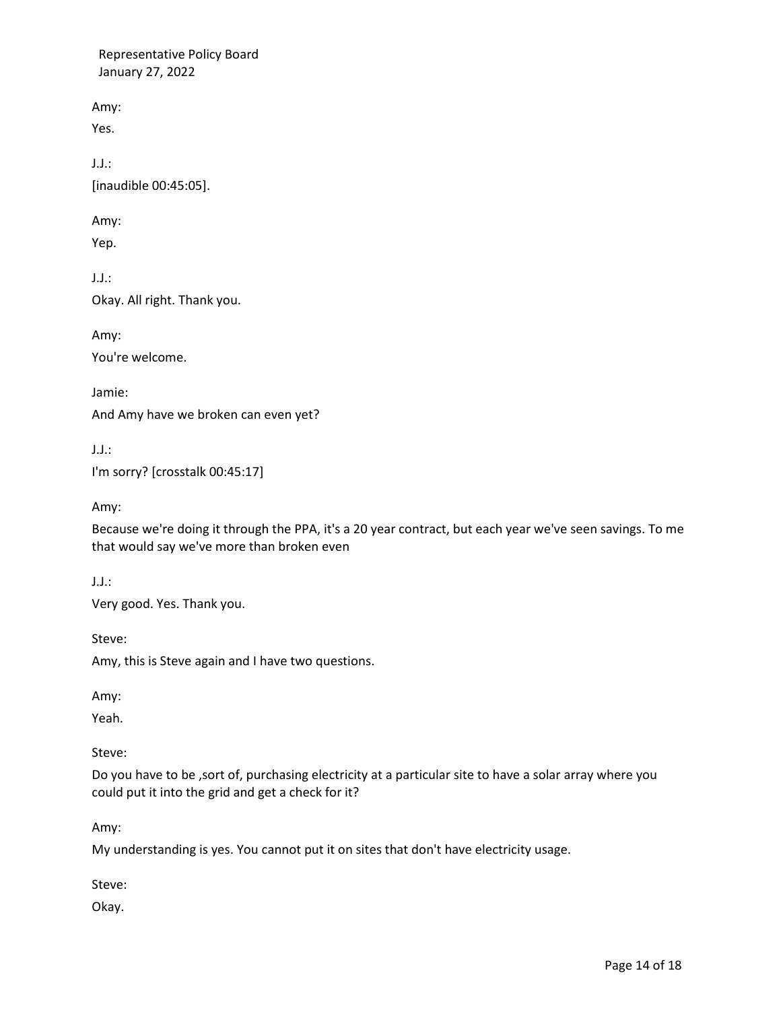Amy:

Yes.

J.J.: [inaudible 00:45:05].

Amy:

Yep.

J.J.: Okay. All right. Thank you.

Amy: You're welcome.

Jamie: And Amy have we broken can even yet?

J.J.: I'm sorry? [crosstalk 00:45:17]

Amy:

Because we're doing it through the PPA, it's a 20 year contract, but each year we've seen savings. To me that would say we've more than broken even

J.J.:

Very good. Yes. Thank you.

Steve:

Amy, this is Steve again and I have two questions.

Amy:

Yeah.

Steve:

Do you have to be ,sort of, purchasing electricity at a particular site to have a solar array where you could put it into the grid and get a check for it?

Amy:

My understanding is yes. You cannot put it on sites that don't have electricity usage.

Steve:

Okay.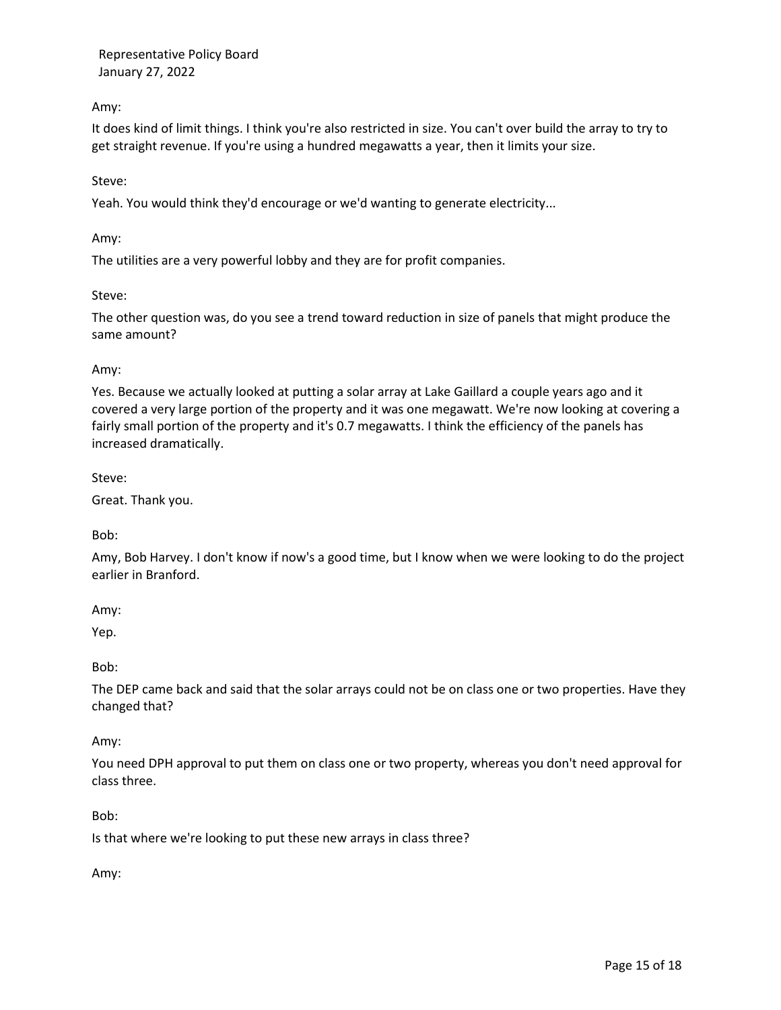## Amy:

It does kind of limit things. I think you're also restricted in size. You can't over build the array to try to get straight revenue. If you're using a hundred megawatts a year, then it limits your size.

### Steve:

Yeah. You would think they'd encourage or we'd wanting to generate electricity...

Amy:

The utilities are a very powerful lobby and they are for profit companies.

### Steve:

The other question was, do you see a trend toward reduction in size of panels that might produce the same amount?

### Amy:

Yes. Because we actually looked at putting a solar array at Lake Gaillard a couple years ago and it covered a very large portion of the property and it was one megawatt. We're now looking at covering a fairly small portion of the property and it's 0.7 megawatts. I think the efficiency of the panels has increased dramatically.

Steve:

Great. Thank you.

Bob:

Amy, Bob Harvey. I don't know if now's a good time, but I know when we were looking to do the project earlier in Branford.

Amy:

Yep.

Bob:

The DEP came back and said that the solar arrays could not be on class one or two properties. Have they changed that?

Amy:

You need DPH approval to put them on class one or two property, whereas you don't need approval for class three.

Bob:

Is that where we're looking to put these new arrays in class three?

Amy: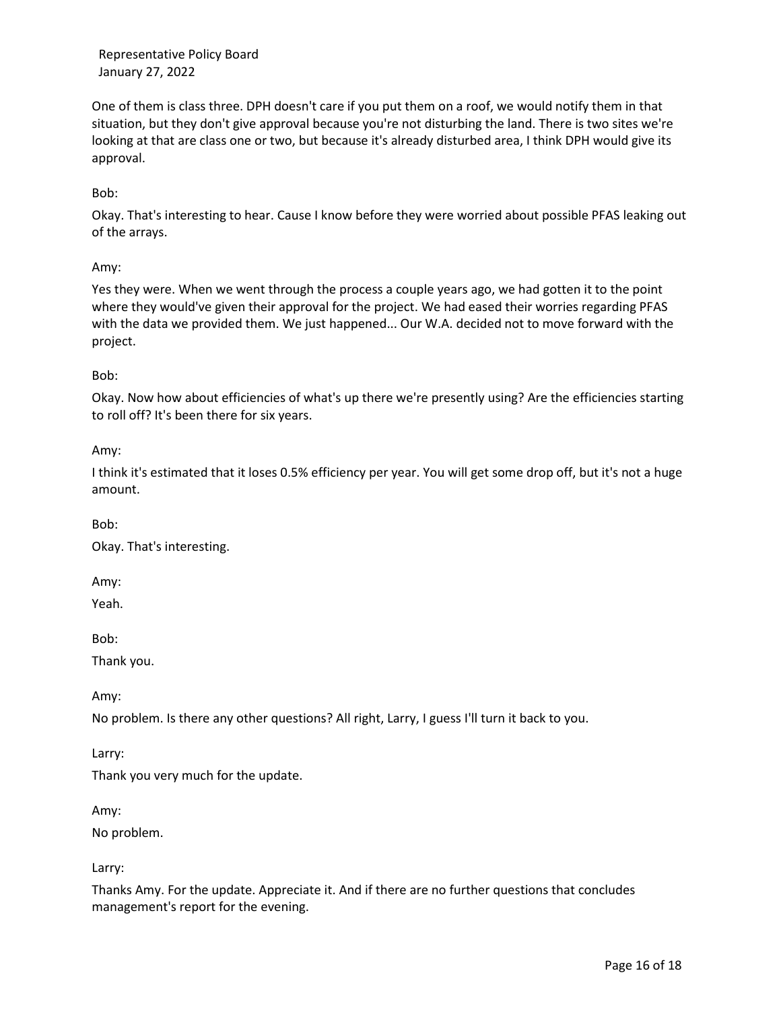One of them is class three. DPH doesn't care if you put them on a roof, we would notify them in that situation, but they don't give approval because you're not disturbing the land. There is two sites we're looking at that are class one or two, but because it's already disturbed area, I think DPH would give its approval.

Bob:

Okay. That's interesting to hear. Cause I know before they were worried about possible PFAS leaking out of the arrays.

Amy:

Yes they were. When we went through the process a couple years ago, we had gotten it to the point where they would've given their approval for the project. We had eased their worries regarding PFAS with the data we provided them. We just happened... Our W.A. decided not to move forward with the project.

Bob:

Okay. Now how about efficiencies of what's up there we're presently using? Are the efficiencies starting to roll off? It's been there for six years.

Amy:

I think it's estimated that it loses 0.5% efficiency per year. You will get some drop off, but it's not a huge amount.

Bob:

Okay. That's interesting.

Amy:

Yeah.

Bob:

Thank you.

Amy:

No problem. Is there any other questions? All right, Larry, I guess I'll turn it back to you.

Larry:

Thank you very much for the update.

Amy:

No problem.

Larry:

Thanks Amy. For the update. Appreciate it. And if there are no further questions that concludes management's report for the evening.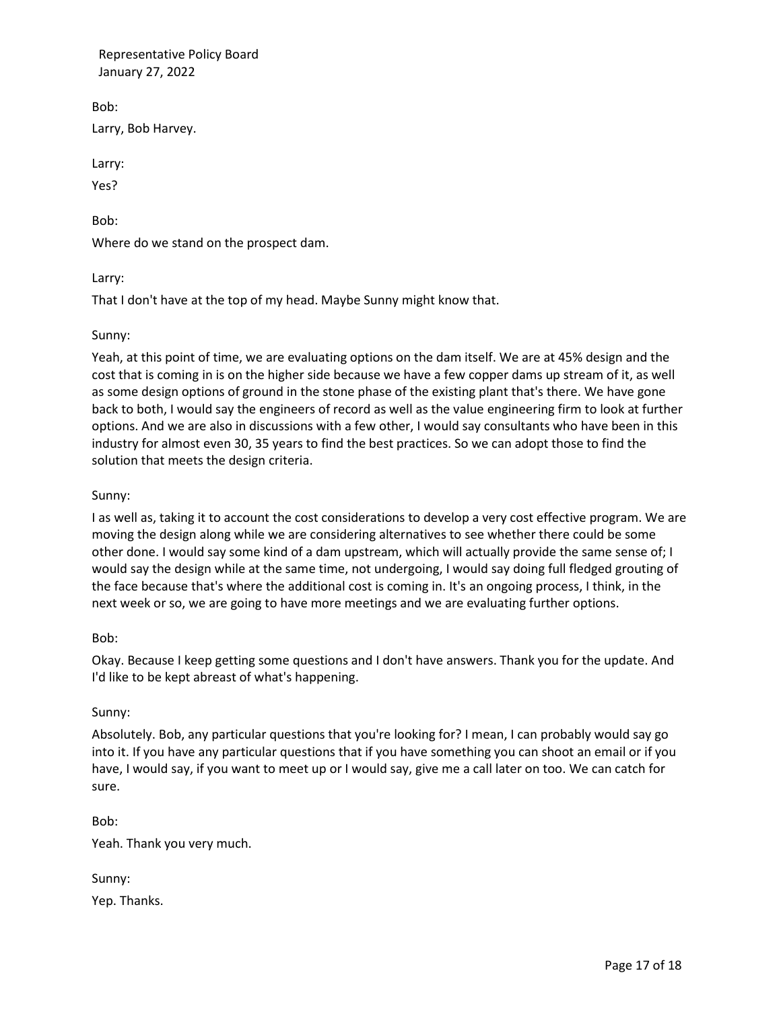Bob:

Larry, Bob Harvey.

Larry:

Yes?

Bob:

Where do we stand on the prospect dam.

Larry:

That I don't have at the top of my head. Maybe Sunny might know that.

## Sunny:

Yeah, at this point of time, we are evaluating options on the dam itself. We are at 45% design and the cost that is coming in is on the higher side because we have a few copper dams up stream of it, as well as some design options of ground in the stone phase of the existing plant that's there. We have gone back to both, I would say the engineers of record as well as the value engineering firm to look at further options. And we are also in discussions with a few other, I would say consultants who have been in this industry for almost even 30, 35 years to find the best practices. So we can adopt those to find the solution that meets the design criteria.

## Sunny:

I as well as, taking it to account the cost considerations to develop a very cost effective program. We are moving the design along while we are considering alternatives to see whether there could be some other done. I would say some kind of a dam upstream, which will actually provide the same sense of; I would say the design while at the same time, not undergoing, I would say doing full fledged grouting of the face because that's where the additional cost is coming in. It's an ongoing process, I think, in the next week or so, we are going to have more meetings and we are evaluating further options.

## Bob:

Okay. Because I keep getting some questions and I don't have answers. Thank you for the update. And I'd like to be kept abreast of what's happening.

## Sunny:

Absolutely. Bob, any particular questions that you're looking for? I mean, I can probably would say go into it. If you have any particular questions that if you have something you can shoot an email or if you have, I would say, if you want to meet up or I would say, give me a call later on too. We can catch for sure.

Bob: Yeah. Thank you very much.

| Sunny: |              |
|--------|--------------|
|        | Yep. Thanks. |